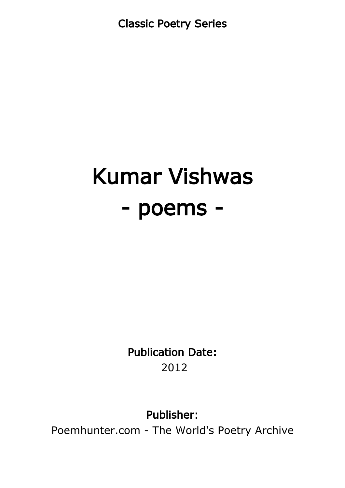Classic Poetry Series

# Kumar Vishwas - poems -

Publication Date: 2012

Publisher:

Poemhunter.com - The World's Poetry Archive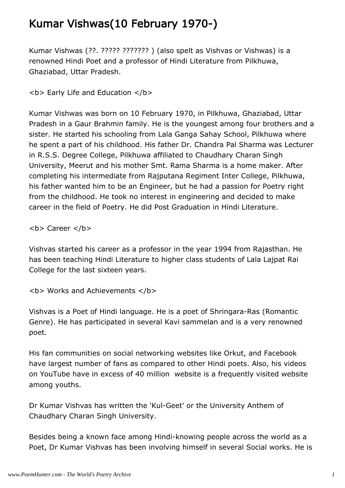#### Kumar Vishwas(10 February 1970-)

Kumar Vishwas (??. ????? ??????? ) (also spelt as Vishvas or Vishwas) is a renowned Hindi Poet and a professor of Hindi Literature from Pilkhuwa, Ghaziabad, Uttar Pradesh.

**<b> Early Life and Education </b>** 

Kumar Vishwas was born on 10 February 1970, in Pilkhuwa, Ghaziabad, Uttar Pradesh in a Gaur Brahmin family. He is the youngest among four brothers and a sister. He started his schooling from Lala Ganga Sahay School, Pilkhuwa where he spent a part of his childhood. His father Dr. Chandra Pal Sharma was Lecturer in R.S.S. Degree College, Pilkhuwa affiliated to Chaudhary Charan Singh University, Meerut and his mother Smt. Rama Sharma is a home maker. After completing his intermediate from Rajputana Regiment Inter College, Pilkhuwa, his father wanted him to be an Engineer, but he had a passion for Poetry right from the childhood. He took no interest in engineering and decided to make career in the field of Poetry. He did Post Graduation in Hindi Literature.

<b> Career </b>

Vishvas started his career as a professor in the year 1994 from Rajasthan. He has been teaching Hindi Literature to higher class students of Lala Lajpat Rai College for the last sixteen years.

**<b> Works and Achievements </b>** 

Vishvas is a Poet of Hindi language. He is a poet of Shringara-Ras (Romantic Genre). He has participated in several Kavi sammelan and is a very renowned poet.

His fan communities on social networking websites like Orkut, and Facebook have largest number of fans as compared to other Hindi poets. Also, his videos on YouTube have in excess of 40 million website is a frequently visited website among youths.

Dr Kumar Vishvas has written the 'Kul-Geet' or the University Anthem of Chaudhary Charan Singh University.

Besides being a known face among Hindi-knowing people across the world as a Poet, Dr Kumar Vishvas has been involving himself in several Social works. He is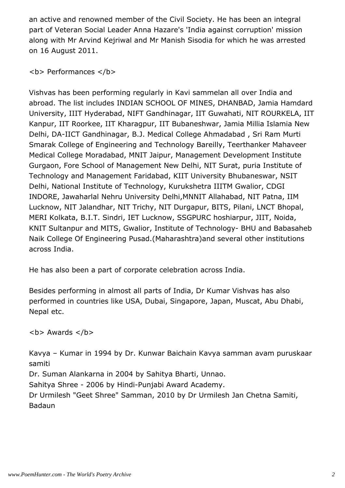an active and renowned member of the Civil Society. He has been an integral part of Veteran Social Leader Anna Hazare's 'India against corruption' mission along with Mr Arvind Kejriwal and Mr Manish Sisodia for which he was arrested on 16 August 2011.

**<b> Performances </b>** 

Vishvas has been performing regularly in Kavi sammelan all over India and abroad. The list includes INDIAN SCHOOL OF MINES, DHANBAD, Jamia Hamdard University, IIIT Hyderabad, NIFT Gandhinagar, IIT Guwahati, NIT ROURKELA, IIT Kanpur, IIT Roorkee, IIT Kharagpur, IIT Bubaneshwar, Jamia Millia Islamia New Delhi, DA-IICT Gandhinagar, B.J. Medical College Ahmadabad , Sri Ram Murti Smarak College of Engineering and Technology Bareilly, Teerthanker Mahaveer Medical College Moradabad, MNIT Jaipur, Management Development Institute Gurgaon, Fore School of Management New Delhi, NIT Surat, puria Institute of Technology and Management Faridabad, KIIT University Bhubaneswar, NSIT Delhi, National Institute of Technology, Kurukshetra IIITM Gwalior, CDGI INDORE, Jawaharlal Nehru University Delhi,MNNIT Allahabad, NIT Patna, IIM Lucknow, NIT Jalandhar, NIT Trichy, NIT Durgapur, BITS, Pilani, LNCT Bhopal, MERI Kolkata, B.I.T. Sindri, IET Lucknow, SSGPURC hoshiarpur, JIIT, Noida, KNIT Sultanpur and MITS, Gwalior, Institute of Technology- BHU and Babasaheb Naik College Of Engineering Pusad.(Maharashtra)and several other institutions across India.

He has also been a part of corporate celebration across India.

Besides performing in almost all parts of India, Dr Kumar Vishvas has also performed in countries like USA, Dubai, Singapore, Japan, Muscat, Abu Dhabi, Nepal etc.

 **Awards**  $****4****$ 

Kavya – Kumar in 1994 by Dr. Kunwar Baichain Kavya samman avam puruskaar samiti

Dr. Suman Alankarna in 2004 by Sahitya Bharti, Unnao.

Sahitya Shree - 2006 by Hindi-Punjabi Award Academy.

Dr Urmilesh "Geet Shree" Samman, 2010 by Dr Urmilesh Jan Chetna Samiti, Badaun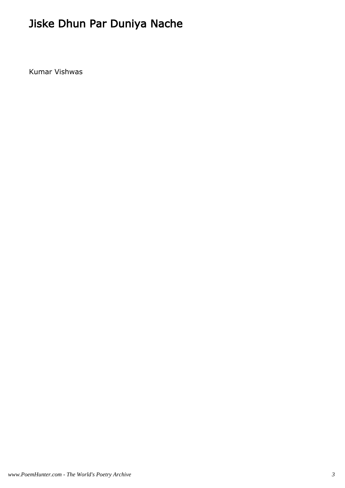## Jiske Dhun Par Duniya Nache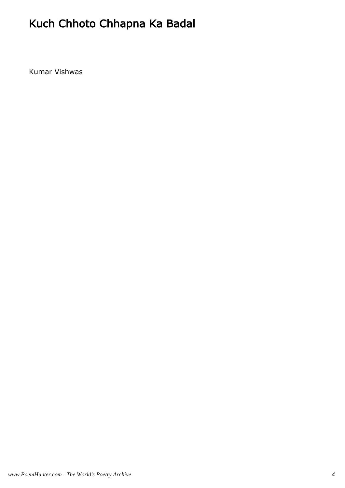## Kuch Chhoto Chhapna Ka Badal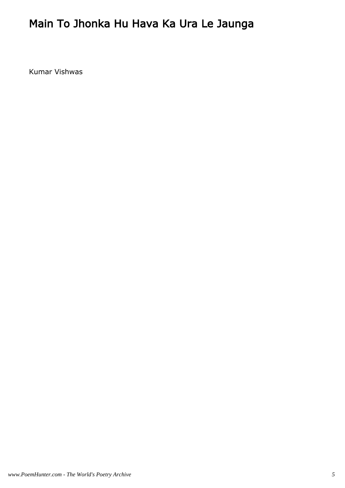### Main To Jhonka Hu Hava Ka Ura Le Jaunga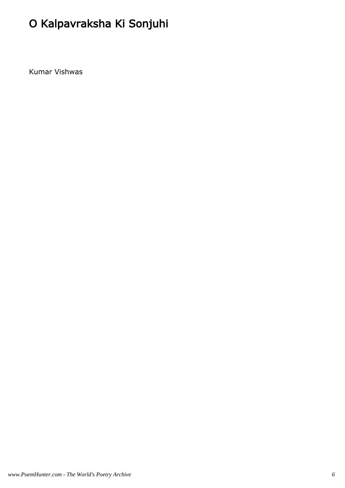## O Kalpavraksha Ki Sonjuhi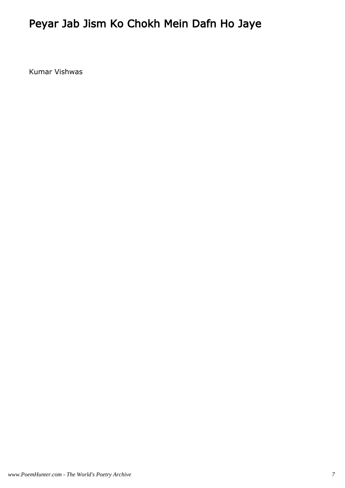### Peyar Jab Jism Ko Chokh Mein Dafn Ho Jaye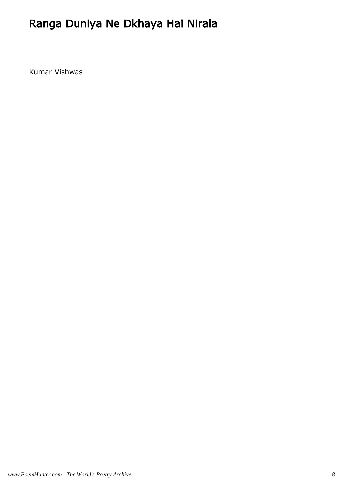### Ranga Duniya Ne Dkhaya Hai Nirala